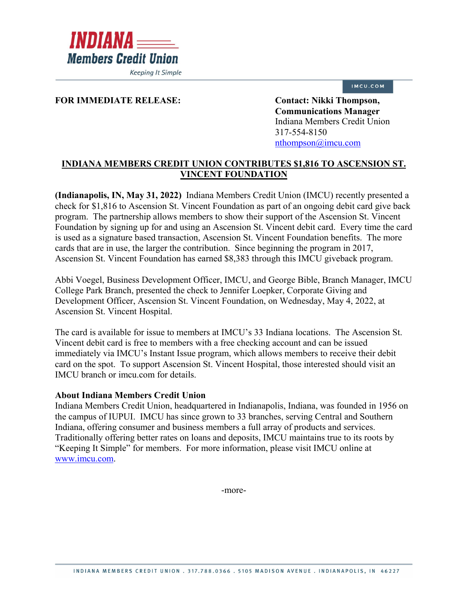

**Keeping It Simple** 

## IMCU.COM

## FOR IMMEDIATE RELEASE: Contact: Nikki Thompson,

**Communications Manager** Indiana Members Credit Union 317-554-8150 [nthompson@imcu.com](mailto:nthompson@imcu.com) 

## **INDIANA MEMBERS CREDIT UNION CONTRIBUTES \$1,816 TO ASCENSION ST. VINCENT FOUNDATION**

**(Indianapolis, IN, May 31, 2022)** Indiana Members Credit Union (IMCU) recently presented a check for \$1,816 to Ascension St. Vincent Foundation as part of an ongoing debit card give back program. The partnership allows members to show their support of the Ascension St. Vincent Foundation by signing up for and using an Ascension St. Vincent debit card. Every time the card is used as a signature based transaction, Ascension St. Vincent Foundation benefits. The more cards that are in use, the larger the contribution. Since beginning the program in 2017, Ascension St. Vincent Foundation has earned \$8,383 through this IMCU giveback program.

Abbi Voegel, Business Development Officer, IMCU, and George Bible, Branch Manager, IMCU College Park Branch, presented the check to Jennifer Loepker, Corporate Giving and Development Officer, Ascension St. Vincent Foundation, on Wednesday, May 4, 2022, at Ascension St. Vincent Hospital.

The card is available for issue to members at IMCU's 33 Indiana locations. The Ascension St. Vincent debit card is free to members with a free checking account and can be issued immediately via IMCU's Instant Issue program, which allows members to receive their debit card on the spot. To support Ascension St. Vincent Hospital, those interested should visit an IMCU branch or imcu.com for details.

## **About Indiana Members Credit Union**

Indiana Members Credit Union, headquartered in Indianapolis, Indiana, was founded in 1956 on the campus of IUPUI. IMCU has since grown to 33 branches, serving Central and Southern Indiana, offering consumer and business members a full array of products and services. Traditionally offering better rates on loans and deposits, IMCU maintains true to its roots by "Keeping It Simple" for members. For more information, please visit IMCU online at [www.imcu.com.](http://www.imcu.com/)

-more-